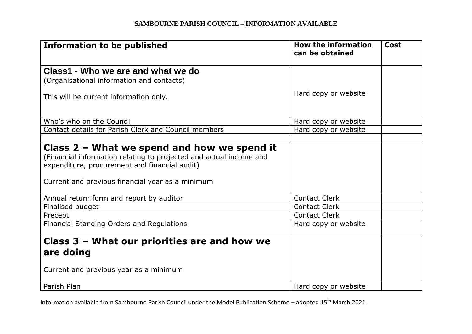| <b>Information to be published</b>                                                                                                                                                                                       | <b>How the information</b><br>can be obtained | <b>Cost</b> |
|--------------------------------------------------------------------------------------------------------------------------------------------------------------------------------------------------------------------------|-----------------------------------------------|-------------|
| Class1 - Who we are and what we do                                                                                                                                                                                       |                                               |             |
| (Organisational information and contacts)                                                                                                                                                                                |                                               |             |
| This will be current information only.                                                                                                                                                                                   | Hard copy or website                          |             |
| Who's who on the Council                                                                                                                                                                                                 | Hard copy or website                          |             |
| Contact details for Parish Clerk and Council members                                                                                                                                                                     | Hard copy or website                          |             |
|                                                                                                                                                                                                                          |                                               |             |
| Class $2$ – What we spend and how we spend it<br>(Financial information relating to projected and actual income and<br>expenditure, procurement and financial audit)<br>Current and previous financial year as a minimum |                                               |             |
| Annual return form and report by auditor                                                                                                                                                                                 | <b>Contact Clerk</b>                          |             |
| Finalised budget                                                                                                                                                                                                         | <b>Contact Clerk</b>                          |             |
| Precept                                                                                                                                                                                                                  | <b>Contact Clerk</b>                          |             |
| Financial Standing Orders and Regulations                                                                                                                                                                                | Hard copy or website                          |             |
| Class 3 - What our priorities are and how we<br>are doing<br>Current and previous year as a minimum                                                                                                                      |                                               |             |
| Parish Plan                                                                                                                                                                                                              | Hard copy or website                          |             |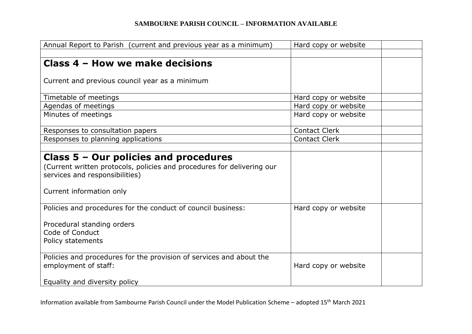| Annual Report to Parish (current and previous year as a minimum)       | Hard copy or website |
|------------------------------------------------------------------------|----------------------|
|                                                                        |                      |
| Class 4 - How we make decisions                                        |                      |
|                                                                        |                      |
| Current and previous council year as a minimum                         |                      |
|                                                                        |                      |
| Timetable of meetings                                                  | Hard copy or website |
| Agendas of meetings                                                    | Hard copy or website |
| Minutes of meetings                                                    | Hard copy or website |
|                                                                        |                      |
| Responses to consultation papers                                       | <b>Contact Clerk</b> |
| Responses to planning applications                                     | <b>Contact Clerk</b> |
|                                                                        |                      |
| Class $5 -$ Our policies and procedures                                |                      |
| (Current written protocols, policies and procedures for delivering our |                      |
| services and responsibilities)                                         |                      |
|                                                                        |                      |
| Current information only                                               |                      |
|                                                                        |                      |
| Policies and procedures for the conduct of council business:           | Hard copy or website |
|                                                                        |                      |
| Procedural standing orders                                             |                      |
| Code of Conduct                                                        |                      |
| Policy statements                                                      |                      |
|                                                                        |                      |
| Policies and procedures for the provision of services and about the    |                      |
| employment of staff:                                                   | Hard copy or website |
|                                                                        |                      |
| Equality and diversity policy                                          |                      |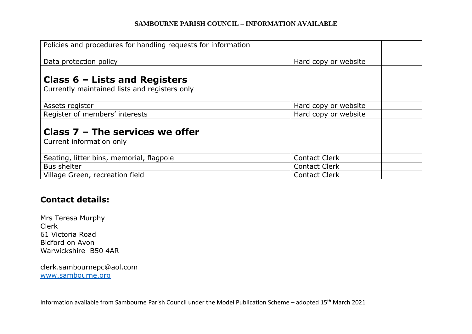| Policies and procedures for handling requests for information |                      |  |
|---------------------------------------------------------------|----------------------|--|
| Data protection policy                                        | Hard copy or website |  |
|                                                               |                      |  |
| Class $6$ – Lists and Registers                               |                      |  |
| Currently maintained lists and registers only                 |                      |  |
| Assets register                                               | Hard copy or website |  |
| Register of members' interests                                | Hard copy or website |  |
|                                                               |                      |  |
| Class $7$ – The services we offer                             |                      |  |
| Current information only                                      |                      |  |
|                                                               |                      |  |
| Seating, litter bins, memorial, flagpole                      | <b>Contact Clerk</b> |  |
| <b>Bus shelter</b>                                            | <b>Contact Clerk</b> |  |
| Village Green, recreation field                               | <b>Contact Clerk</b> |  |

# **Contact details:**

Mrs Teresa Murphy Clerk 61 Victoria Road Bidford on Avon Warwickshire B50 4AR

clerk.sambournepc@aol.com [www.sambourne.org](http://www.sambourne.org/)